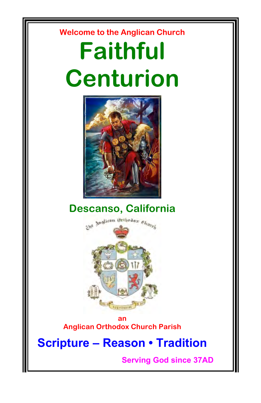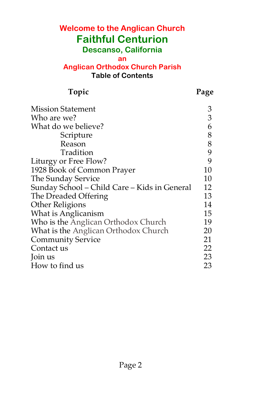## **Welcome to the Anglican Church Faithful Centurion Descanso, California**

#### **an**

#### **Anglican Orthodox Church Parish Table of Contents**

| Topic                                        | Page |
|----------------------------------------------|------|
| <b>Mission Statement</b>                     | 3    |
| Who are we?                                  | 3    |
| What do we believe?                          | 6    |
| Scripture                                    | 8    |
| Reason                                       | 8    |
| Tradition                                    | 9    |
| Liturgy or Free Flow?                        | 9    |
| 1928 Book of Common Prayer                   | 10   |
| The Sunday Service                           | 10   |
| Sunday School - Child Care - Kids in General | 12   |
| The Dreaded Offering                         | 13   |
| Other Religions                              | 14   |
| What is Anglicanism                          | 15   |
| Who is the Anglican Orthodox Church          | 19   |
| What is the Anglican Orthodox Church         | 20   |
| <b>Community Service</b>                     | 21   |
| Contact us                                   | 22   |
| Join us                                      | 23   |
| How to find us                               | 23   |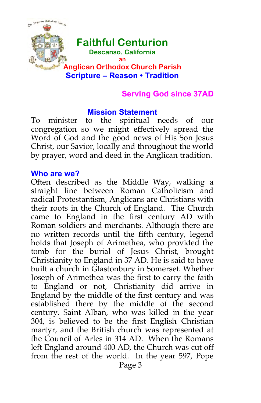

# **Faithful Centurion**

**Descanso, California**

**an**

#### **Anglican Orthodox Church Parish Scripture – Reason • Tradition**

#### **Serving God since 37AD**

#### **Mission Statement**

To minister to the spiritual needs of our congregation so we might effectively spread the Word of God and the good news of His Son Jesus Christ, our Savior, locally and throughout the world by prayer, word and deed in the Anglican tradition.

#### **Who are we?**

Often described as the Middle Way, walking a straight line between Roman Catholicism and radical Protestantism, Anglicans are Christians with their roots in the Church of England. The Church came to England in the first century AD with Roman soldiers and merchants. Although there are no written records until the fifth century, legend holds that Joseph of Arimethea, who provided the tomb for the burial of Jesus Christ, brought Christianity to England in 37 AD. He is said to have built a church in Glastonbury in Somerset. Whether Joseph of Arimethea was the first to carry the faith to England or not, Christianity did arrive in England by the middle of the first century and was established there by the middle of the second century. Saint Alban, who was killed in the year 304, is believed to be the first English Christian martyr, and the British church was represented at the Council of Arles in 314 AD. When the Romans left England around 400 AD, the Church was cut off from the rest of the world. In the year 597, Pope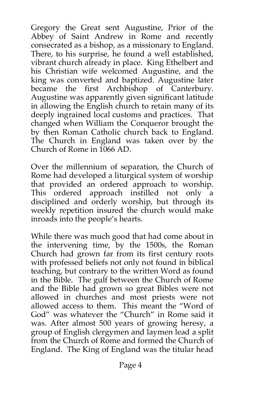Gregory the Great sent Augustine, Prior of the Abbey of Saint Andrew in Rome and recently consecrated as a bishop, as a missionary to England. There, to his surprise, he found a well established, vibrant church already in place. King Ethelbert and his Christian wife welcomed Augustine, and the king was converted and baptized. Augustine later<br>became the first Archbishop of Canterbury. first Archbishop of Canterbury. Augustine was apparently given significant latitude in allowing the English church to retain many of its deeply ingrained local customs and practices. That changed when William the Conqueror brought the by then Roman Catholic church back to England. The Church in England was taken over by the Church of Rome in 1066 AD.

Over the millennium of separation, the Church of Rome had developed a liturgical system of worship that provided an ordered approach to worship. This ordered approach instilled not only a disciplined and orderly worship, but through its weekly repetition insured the church would make inroads into the people's hearts.

While there was much good that had come about in the intervening time, by the 1500s, the Roman Church had grown far from its first century roots with professed beliefs not only not found in biblical teaching, but contrary to the written Word as found in the Bible. The gulf between the Church of Rome and the Bible had grown so great Bibles were not allowed in churches and most priests were not allowed access to them. This meant the "Word of God" was whatever the "Church" in Rome said it was. After almost 500 years of growing heresy, a group of English clergymen and laymen lead a split from the Church of Rome and formed the Church of England. The King of England was the titular head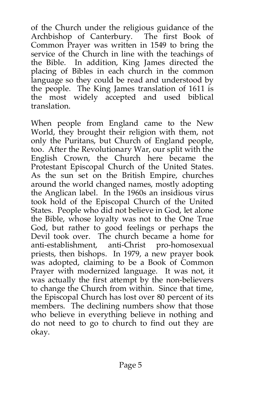of the Church under the religious guidance of the Archbishop of Canterbury. The first Book of Common Prayer was written in 1549 to bring the service of the Church in line with the teachings of the Bible. In addition, King James directed the placing of Bibles in each church in the common language so they could be read and understood by the people. The King James translation of 1611 is the most widely accepted and used biblical translation.

When people from England came to the New World, they brought their religion with them, not only the Puritans, but Church of England people, too. After the Revolutionary War, our split with the English Crown, the Church here became the Protestant Episcopal Church of the United States. As the sun set on the British Empire, churches around the world changed names, mostly adopting the Anglican label. In the 1960s an insidious virus took hold of the Episcopal Church of the United States. People who did not believe in God, let alone the Bible, whose loyalty was not to the One True God, but rather to good feelings or perhaps the Devil took over. The church became a home for anti-establishment, anti-Christ pro-homosexual priests, then bishops. In 1979, a new prayer book was adopted, claiming to be a Book of Common Prayer with modernized language. It was not, it was actually the first attempt by the non-believers to change the Church from within. Since that time, the Episcopal Church has lost over 80 percent of its members. The declining numbers show that those who believe in everything believe in nothing and do not need to go to church to find out they are okay.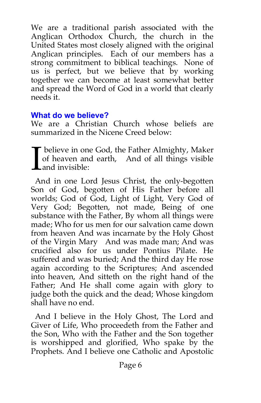We are a traditional parish associated with the Anglican Orthodox Church, the church in the United States most closely aligned with the original Anglican principles. Each of our members has a strong commitment to biblical teachings. None of us is perfect, but we believe that by working together we can become at least somewhat better and spread the Word of God in a world that clearly needs it.

#### **What do we believe?**

We are a Christian Church whose beliefs are summarized in the Nicene Creed below:

believe in one God, the Father Almighty, Maker of heaven and earth, And of all things visible and invisible: I

 And in one Lord Jesus Christ, the only-begotten Son of God, begotten of His Father before all worlds; God of God, Light of Light, Very God of Very God; Begotten, not made, Being of one substance with the Father, By whom all things were made; Who for us men for our salvation came down from heaven And was incarnate by the Holy Ghost of the Virgin Mary And was made man; And was crucified also for us under Pontius Pilate. He suffered and was buried; And the third day He rose again according to the Scriptures; And ascended into heaven, And sitteth on the right hand of the Father; And He shall come again with glory to judge both the quick and the dead; Whose kingdom shall have no end.

 And I believe in the Holy Ghost, The Lord and Giver of Life, Who proceedeth from the Father and the Son, Who with the Father and the Son together is worshipped and glorified, Who spake by the Prophets. And I believe one Catholic and Apostolic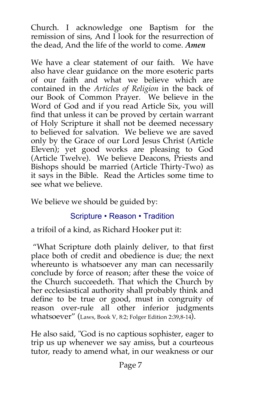Church. I acknowledge one Baptism for the remission of sins, And I look for the resurrection of the dead, And the life of the world to come. *Amen*

We have a clear statement of our faith. We have also have clear guidance on the more esoteric parts of our faith and what we believe which are contained in the *Articles of Religion* in the back of our Book of Common Prayer. We believe in the Word of God and if you read Article Six, you will find that unless it can be proved by certain warrant of Holy Scripture it shall not be deemed necessary to believed for salvation. We believe we are saved only by the Grace of our Lord Jesus Christ (Article Eleven); yet good works are pleasing to God (Article Twelve). We believe Deacons, Priests and Bishops should be married (Article Thirty-Two) as it says in the Bible. Read the Articles some time to see what we believe.

We believe we should be guided by:

## Scripture • Reason • Tradition

a trifoil of a kind, as Richard Hooker put it:

 "What Scripture doth plainly deliver, to that first place both of credit and obedience is due; the next whereunto is whatsoever any man can necessarily conclude by force of reason; after these the voice of the Church succeedeth. That which the Church by her ecclesiastical authority shall probably think and define to be true or good, must in congruity of reason over-rule all other inferior judgments whatsoever" (Laws, Book V, 8:2; Folger Edition 2:39,8-14).

He also said, "God is no captious sophister, eager to trip us up whenever we say amiss, but a courteous tutor, ready to amend what, in our weakness or our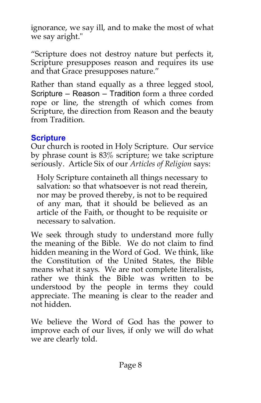ignorance, we say ill, and to make the most of what we say aright."

"Scripture does not destroy nature but perfects it, Scripture presupposes reason and requires its use and that Grace presupposes nature."

Rather than stand equally as a three legged stool, Scripture – Reason – Tradition form a three corded rope or line, the strength of which comes from Scripture, the direction from Reason and the beauty from Tradition.

#### **Scripture**

Our church is rooted in Holy Scripture. Our service by phrase count is 83% scripture; we take scripture seriously. Article Six of our *Articles of Religion* says:

Holy Scripture containeth all things necessary to salvation: so that whatsoever is not read therein, nor may be proved thereby, is not to be required of any man, that it should be believed as an article of the Faith, or thought to be requisite or necessary to salvation.

We seek through study to understand more fully the meaning of the Bible. We do not claim to find hidden meaning in the Word of God. We think, like the Constitution of the United States, the Bible means what it says. We are not complete literalists, rather we think the Bible was written to be understood by the people in terms they could appreciate. The meaning is clear to the reader and not hidden.

We believe the Word of God has the power to improve each of our lives, if only we will do what we are clearly told.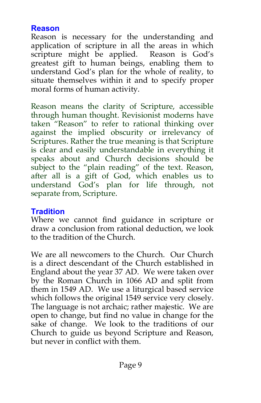#### **Reason**

Reason is necessary for the understanding and application of scripture in all the areas in which scripture might be applied. Reason is God's greatest gift to human beings, enabling them to understand God's plan for the whole of reality, to situate themselves within it and to specify proper moral forms of human activity.

Reason means the clarity of Scripture, accessible through human thought. Revisionist moderns have taken "Reason" to refer to rational thinking over against the implied obscurity or irrelevancy of Scriptures. Rather the true meaning is that Scripture is clear and easily understandable in everything it speaks about and Church decisions should be subject to the "plain reading" of the text. Reason, after all is a gift of God, which enables us to understand God's plan for life through, not separate from, Scripture.

## **Tradition**

Where we cannot find guidance in scripture or draw a conclusion from rational deduction, we look to the tradition of the Church.

We are all newcomers to the Church. Our Church is a direct descendant of the Church established in England about the year 37 AD. We were taken over by the Roman Church in 1066 AD and split from them in 1549 AD. We use a liturgical based service which follows the original 1549 service very closely. The language is not archaic; rather majestic. We are open to change, but find no value in change for the sake of change. We look to the traditions of our Church to guide us beyond Scripture and Reason, but never in conflict with them.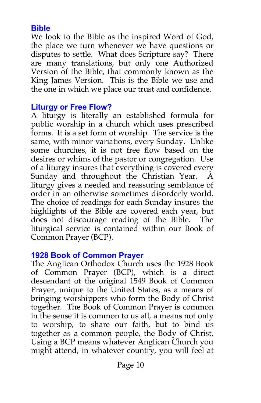#### **Bible**

We look to the Bible as the inspired Word of God, the place we turn whenever we have questions or disputes to settle. What does Scripture say? There are many translations, but only one Authorized Version of the Bible, that commonly known as the King James Version. This is the Bible we use and the one in which we place our trust and confidence.

#### **Liturgy or Free Flow?**

A liturgy is literally an established formula for public worship in a church which uses prescribed forms. It is a set form of worship. The service is the same, with minor variations, every Sunday. Unlike some churches, it is not free flow based on the desires or whims of the pastor or congregation. Use of a liturgy insures that everything is covered every Sunday and throughout the Christian Year. A liturgy gives a needed and reassuring semblance of order in an otherwise sometimes disorderly world. The choice of readings for each Sunday insures the highlights of the Bible are covered each year, but does not discourage reading of the Bible. The liturgical service is contained within our Book of Common Prayer (BCP).

#### **1928 Book of Common Prayer**

The Anglican Orthodox Church uses the 1928 Book of Common Prayer (BCP), which is a direct descendant of the original 1549 Book of Common Prayer, unique to the United States, as a means of bringing worshippers who form the Body of Christ together. The Book of Common Prayer is common in the sense it is common to us all, a means not only to worship, to share our faith, but to bind us together as a common people, the Body of Christ. Using a BCP means whatever Anglican Church you might attend, in whatever country, you will feel at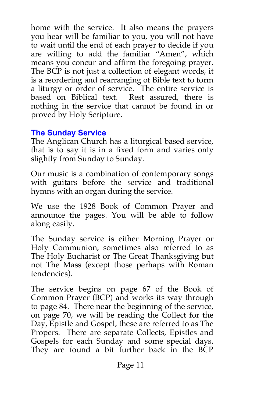home with the service. It also means the prayers you hear will be familiar to you, you will not have to wait until the end of each prayer to decide if you are willing to add the familiar "Amen", which means you concur and affirm the foregoing prayer. The BCP is not just a collection of elegant words, it is a reordering and rearranging of Bible text to form a liturgy or order of service. The entire service is based on Biblical text. Rest assured, there is nothing in the service that cannot be found in or proved by Holy Scripture.

#### **The Sunday Service**

The Anglican Church has a liturgical based service, that is to say it is in a fixed form and varies only slightly from Sunday to Sunday.

Our music is a combination of contemporary songs with guitars before the service and traditional hymns with an organ during the service.

We use the 1928 Book of Common Prayer and announce the pages. You will be able to follow along easily.

The Sunday service is either Morning Prayer or Holy Communion, sometimes also referred to as The Holy Eucharist or The Great Thanksgiving but not The Mass (except those perhaps with Roman tendencies).

The service begins on page 67 of the Book of Common Prayer (BCP) and works its way through to page 84. There near the beginning of the service, on page 70, we will be reading the Collect for the Day, Epistle and Gospel, these are referred to as The Propers. There are separate Collects, Epistles and Gospels for each Sunday and some special days. They are found a bit further back in the BCP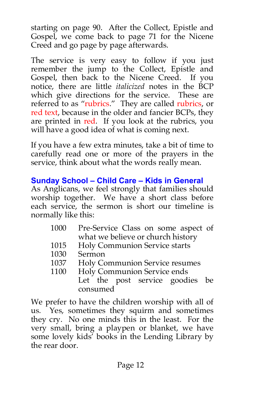starting on page 90. After the Collect, Epistle and Gospel, we come back to page 71 for the Nicene Creed and go page by page afterwards.

The service is very easy to follow if you just remember the jump to the Collect, Epistle and Gospel, then back to the Nicene Creed. If you notice, there are little *italicized* notes in the BCP which give directions for the service. These are referred to as "rubrics." They are called rubrics, or red text, because in the older and fancier BCPs, they are printed in red. If you look at the rubrics, you will have a good idea of what is coming next.

If you have a few extra minutes, take a bit of time to carefully read one or more of the prayers in the service, think about what the words really mean.

## **Sunday School – Child Care – Kids in General**

As Anglicans, we feel strongly that families should worship together. We have a short class before each service, the sermon is short our timeline is normally like this:

- 1000 Pre-Service Class on some aspect of what we believe or church history
- 1015 Holy Communion Service starts
- 1030 Sermon
- 1037 Holy Communion Service resumes<br>1100 Holy Communion Service ends
- Holy Communion Service ends Let the post service goodies be consumed

We prefer to have the children worship with all of us. Yes, sometimes they squirm and sometimes they cry. No one minds this in the least. For the very small, bring a playpen or blanket, we have some lovely kids' books in the Lending Library by the rear door.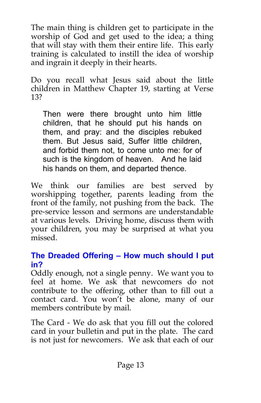The main thing is children get to participate in the worship of God and get used to the idea; a thing that will stay with them their entire life. This early training is calculated to instill the idea of worship and ingrain it deeply in their hearts.

Do you recall what Jesus said about the little children in Matthew Chapter 19, starting at Verse 13?

Then were there brought unto him little children, that he should put his hands on them, and pray: and the disciples rebuked them. But Jesus said, Suffer little children, and forbid them not, to come unto me: for of such is the kingdom of heaven. And he laid his hands on them, and departed thence.

We think our families are best served by worshipping together, parents leading from the front of the family, not pushing from the back. The pre-service lesson and sermons are understandable at various levels. Driving home, discuss them with your children, you may be surprised at what you missed.

## **The Dreaded Offering – How much should I put in?**

Oddly enough, not a single penny. We want you to feel at home. We ask that newcomers do not contribute to the offering, other than to fill out a contact card. You won't be alone, many of our members contribute by mail.

The Card - We do ask that you fill out the colored card in your bulletin and put in the plate. The card is not just for newcomers. We ask that each of our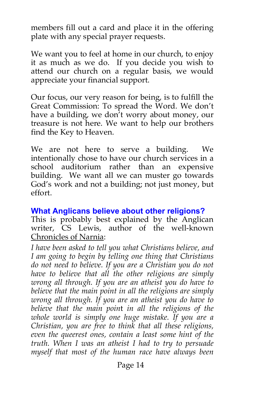members fill out a card and place it in the offering plate with any special prayer requests.

We want you to feel at home in our church, to enjoy it as much as we do. If you decide you wish to attend our church on a regular basis, we would appreciate your financial support.

Our focus, our very reason for being, is to fulfill the Great Commission: To spread the Word. We don't have a building, we don't worry about money, our treasure is not here. We want to help our brothers find the Key to Heaven.

We are not here to serve a building. We intentionally chose to have our church services in a school auditorium rather than an expensive building. We want all we can muster go towards God's work and not a building; not just money, but effort.

#### **What Anglicans believe about other religions?**

This is probably best explained by the Anglican writer, CS Lewis, author of the well-known Chronicles of Narnia:

*I have been asked to tell you what Christians believe, and I am going to begin by telling one thing that Christians do not need to believe. If you are a Christian you do not have to believe that all the other religions are simply wrong all through. If you are an atheist you do have to believe that the main point in all the religions are simply wrong all through. If you are an atheist you do have to believe that the main poin*t *in all the religions of the whole world is simply one huge mistake. If you are a Christian, you are free to think that all these religions, even the queerest ones, contain a least some hint of the truth. When I was an atheist I had to try to persuade myself that most of the human race have always been*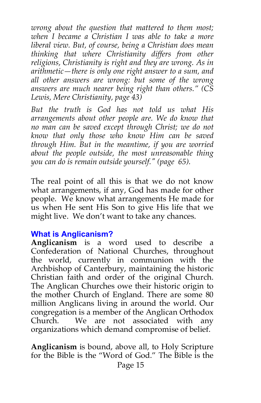*wrong about the question that mattered to them most; when I became a Christian I was able to take a more liberal view. But, of course, being a Christian does mean thinking that where Christianity differs from other religions, Christianity is right and they are wrong. As in arithmetic—there is only one right answer to a sum, and all other answers are wrong: but some of the wrong answers are much nearer being right than others." (CS Lewis, Mere Christianity, page 43)*

*But the truth is God has not told us what His arrangements about other people are. We do know that no man can be saved except through Christ; we do not know that only those who know Him can be saved through Him. But in the meantime, if you are worried about the people outside, the most unreasonable thing you can do is remain outside yourself." (page 65).*

The real point of all this is that we do not know what arrangements, if any, God has made for other people. We know what arrangements He made for us when He sent His Son to give His life that we might live. We don't want to take any chances.

#### **What is Anglicanism?**

**Anglicanism** is a word used to describe a Confederation of National Churches, throughout the world, currently in communion with the Archbishop of Canterbury, maintaining the historic Christian faith and order of the original Church. The Anglican Churches owe their historic origin to the mother Church of England. There are some 80 million Anglicans living in around the world. Our congregation is a member of the Anglican Orthodox Church. We are not associated with any organizations which demand compromise of belief.

**Anglicanism** is bound, above all, to Holy Scripture for the Bible is the "Word of God." The Bible is the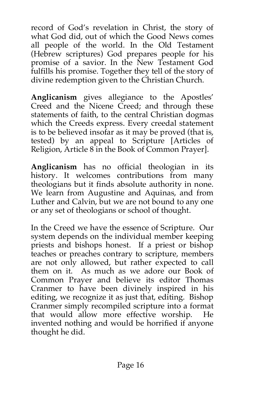record of God's revelation in Christ, the story of what God did, out of which the Good News comes all people of the world. In the Old Testament (Hebrew scriptures) God prepares people for his promise of a savior. In the New Testament God fulfills his promise. Together they tell of the story of divine redemption given to the Christian Church.

**Anglicanism** gives allegiance to the Apostles' Creed and the Nicene Creed; and through these statements of faith, to the central Christian dogmas which the Creeds express. Every creedal statement is to be believed insofar as it may be proved (that is, tested) by an appeal to Scripture [Articles of Religion, Article 8 in the Book of Common Prayer].

**Anglicanism** has no official theologian in its history. It welcomes contributions from many theologians but it finds absolute authority in none. We learn from Augustine and Aquinas, and from Luther and Calvin, but we are not bound to any one or any set of theologians or school of thought.

In the Creed we have the essence of Scripture. Our system depends on the individual member keeping priests and bishops honest. If a priest or bishop teaches or preaches contrary to scripture, members are not only allowed, but rather expected to call them on it. As much as we adore our Book of Common Prayer and believe its editor Thomas Cranmer to have been divinely inspired in his editing, we recognize it as just that, editing. Bishop Cranmer simply recompiled scripture into a format that would allow more effective worship. He invented nothing and would be horrified if anyone thought he did.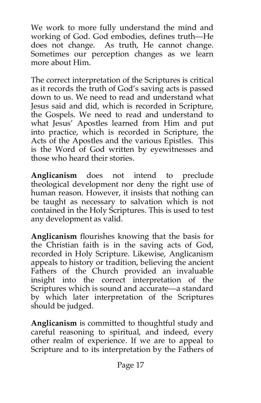We work to more fully understand the mind and working of God. God embodies, defines truth—He does not change. As truth, He cannot change. Sometimes our perception changes as we learn more about Him.

The correct interpretation of the Scriptures is critical as it records the truth of God's saving acts is passed down to us. We need to read and understand what Jesus said and did, which is recorded in Scripture, the Gospels. We need to read and understand to what Jesus' Apostles learned from Him and put into practice, which is recorded in Scripture, the Acts of the Apostles and the various Epistles. This is the Word of God written by eyewitnesses and those who heard their stories.

**Anglicanism** does not intend to preclude theological development nor deny the right use of human reason. However, it insists that nothing can be taught as necessary to salvation which is not contained in the Holy Scriptures. This is used to test any development as valid.

**Anglicanism** flourishes knowing that the basis for the Christian faith is in the saving acts of God, recorded in Holy Scripture. Likewise, Anglicanism appeals to history or tradition, believing the ancient Fathers of the Church provided an invaluable insight into the correct interpretation of the Scriptures which is sound and accurate—a standard by which later interpretation of the Scriptures should be judged.

**Anglicanism** is committed to thoughtful study and careful reasoning to spiritual, and indeed, every other realm of experience. If we are to appeal to Scripture and to its interpretation by the Fathers of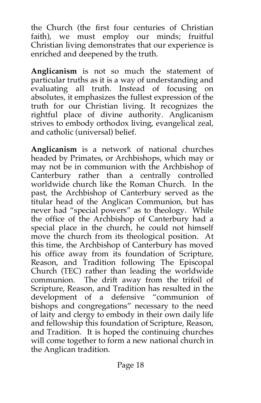the Church (the first four centuries of Christian faith), we must employ our minds; fruitful Christian living demonstrates that our experience is enriched and deepened by the truth.

**Anglicanism** is not so much the statement of particular truths as it is a way of understanding and evaluating all truth. Instead of focusing on absolutes, it emphasizes the fullest expression of the truth for our Christian living. It recognizes the rightful place of divine authority. Anglicanism strives to embody orthodox living, evangelical zeal, and catholic (universal) belief.

**Anglicanism** is a network of national churches headed by Primates, or Archbishops, which may or may not be in communion with the Archbishop of Canterbury rather than a centrally controlled worldwide church like the Roman Church. In the past, the Archbishop of Canterbury served as the titular head of the Anglican Communion, but has never had "special powers" as to theology. While the office of the Archbishop of Canterbury had a special place in the church, he could not himself move the church from its theological position. At this time, the Archbishop of Canterbury has moved his office away from its foundation of Scripture, Reason, and Tradition following The Episcopal Church (TEC) rather than leading the worldwide communion. The drift away from the trifoil of Scripture, Reason, and Tradition has resulted in the development of a defensive "communion of bishops and congregations" necessary to the need of laity and clergy to embody in their own daily life and fellowship this foundation of Scripture, Reason, and Tradition. It is hoped the continuing churches will come together to form a new national church in the Anglican tradition.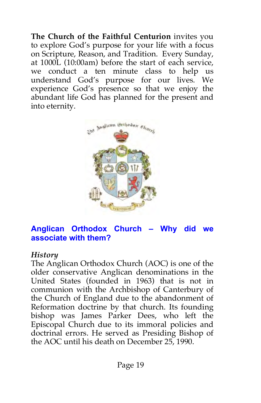**The Church of the Faithful Centurion** invites you to explore God's purpose for your life with a focus on Scripture, Reason, and Tradition. Every Sunday, at 1000L (10:00am) before the start of each service, we conduct a ten minute class to help us understand God's purpose for our lives. We experience God's presence so that we enjoy the abundant life God has planned for the present and into eternity.



#### **Anglican Orthodox Church – Why did we associate with them?**

#### *History*

The Anglican Orthodox Church (AOC) is one of the older conservative Anglican denominations in the United States (founded in 1963) that is not in communion with the Archbishop of Canterbury of the Church of England due to the abandonment of Reformation doctrine by that church. Its founding bishop was James Parker Dees, who left the Episcopal Church due to its immoral policies and doctrinal errors. He served as Presiding Bishop of the AOC until his death on December 25, 1990.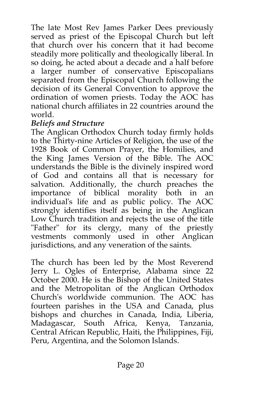The late Most Rev James Parker Dees previously served as priest of the Episcopal Church but left that church over his concern that it had become steadily more politically and theologically liberal. In so doing, he acted about a decade and a half before a larger number of conservative Episcopalians separated from the Episcopal Church following the decision of its General Convention to approve the ordination of women priests. Today the AOC has national church affiliates in 22 countries around the world.

#### *Beliefs and Structure*

The Anglican Orthodox Church today firmly holds to the Thirty-nine Articles of Religion, the use of the 1928 Book of Common Prayer, the Homilies, and the King James Version of the Bible. The AOC understands the Bible is the divinely inspired word of God and contains all that is necessary for salvation. Additionally, the church preaches the importance of biblical morality both in an individual's life and as public policy. The AOC strongly identifies itself as being in the Anglican Low Church tradition and rejects the use of the title "Father" for its clergy, many of the priestly vestments commonly used in other Anglican jurisdictions, and any veneration of the saints.

The church has been led by the Most Reverend Jerry L. Ogles of Enterprise, Alabama since 22 October 2000. He is the Bishop of the United States and the Metropolitan of the Anglican Orthodox Church's worldwide communion. The AOC has fourteen parishes in the USA and Canada, plus bishops and churches in Canada, India, Liberia, Madagascar, South Africa, Kenya, Tanzania, Central African Republic, Haiti, the Philippines, Fiji, Peru, Argentina, and the Solomon Islands.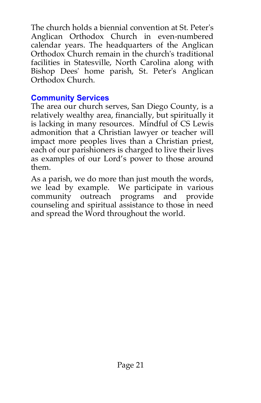The church holds a biennial convention at St. Peter's Anglican Orthodox Church in even-numbered calendar years. The headquarters of the Anglican Orthodox Church remain in the church's traditional facilities in Statesville, North Carolina along with Bishop Dees' home parish, St. Peter's Anglican Orthodox Church.

#### **Community Services**

The area our church serves, San Diego County, is a relatively wealthy area, financially, but spiritually it is lacking in many resources. Mindful of CS Lewis admonition that a Christian lawyer or teacher will impact more peoples lives than a Christian priest, each of our parishioners is charged to live their lives as examples of our Lord's power to those around them.

As a parish, we do more than just mouth the words, we lead by example. We participate in various community outreach programs and provide counseling and spiritual assistance to those in need and spread the Word throughout the world.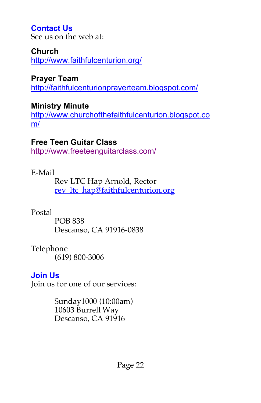## **Contact Us**

See us on the web at:

#### **Church**

http://www.faithfulcenturion.org/

**Prayer Team** http://faithfulcenturionprayerteam.blogspot.com/

## **Ministry Minute**

http://www.churchofthefaithfulcenturion.blogspot.co m/

## **Free Teen Guitar Class**

http://www.freeteenguitarclass.com/

## E-Mail

Rev LTC Hap Arnold, Rector rev\_ltc\_hap@faithfulcenturion.org

## Postal

POB 838 Descanso, CA 91916-0838

#### Telephone (619) 800-3006

## **Join Us**

Join us for one of our services:

Sunday1000 (10:00am) 10603 Burrell Way Descanso, CA 91916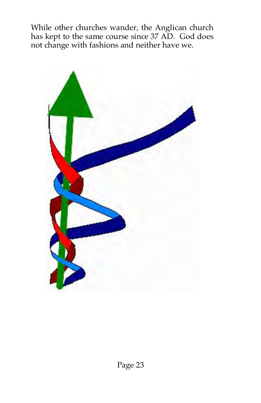While other churches wander, the Anglican church has kept to the same course since 37 AD. God does not change with fashions and neither have we.